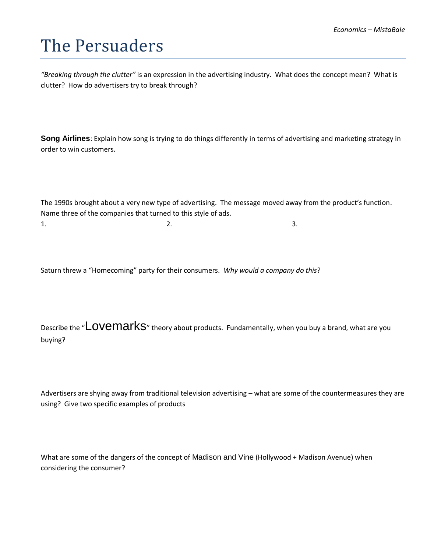## The Persuaders

*"Breaking through the clutter"* is an expression in the advertising industry. What does the concept mean? What is clutter? How do advertisers try to break through?

**Song Airlines**: Explain how song is trying to do things differently in terms of advertising and marketing strategy in order to win customers.

The 1990s brought about a very new type of advertising. The message moved away from the product's function. Name three of the companies that turned to this style of ads.

 $1.$  2.  $3.$ 

Saturn threw a "Homecoming" party for their consumers. *Why would a company do this*?

Describe the "LOVEMArkS" theory about products. Fundamentally, when you buy a brand, what are you buying?

Advertisers are shying away from traditional television advertising – what are some of the countermeasures they are using? Give two specific examples of products

What are some of the dangers of the concept of Madison and Vine (Hollywood + Madison Avenue) when considering the consumer?